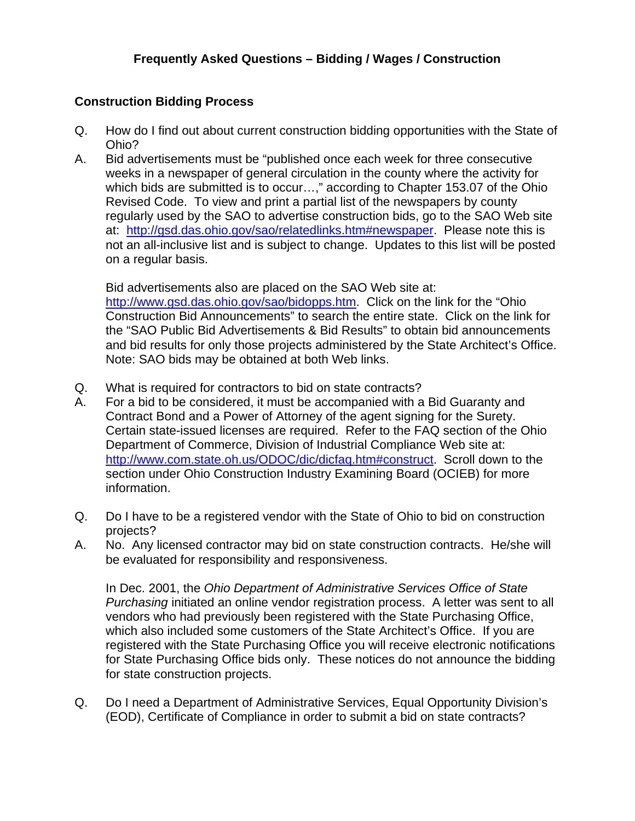## **Construction Bidding Process**

- Q. How do I find out about current construction bidding opportunities with the State of Ohio?
- A. Bid advertisements must be "published once each week for three consecutive weeks in a newspaper of general circulation in the county where the activity for which bids are submitted is to occur…," according to Chapter 153.07 of the Ohio Revised Code. To view and print a partial list of the newspapers by county regularly used by the SAO to advertise construction bids, go to the SAO Web site at: <http://gsd.das.ohio.gov/sao/relatedlinks.htm#newspaper>. Please note this is not an all-inclusive list and is subject to change. Updates to this list will be posted on a regular basis.

 Bid advertisements also are placed on the SAO Web site at: <http://www.gsd.das.ohio.gov/sao/bidopps.htm>. Click on the link for the "Ohio Construction Bid Announcements" to search the entire state. Click on the link for the "SAO Public Bid Advertisements & Bid Results" to obtain bid announcements and bid results for only those projects administered by the State Architect's Office. Note: SAO bids may be obtained at both Web links.

- Q. What is required for contractors to bid on state contracts?
- A. For a bid to be considered, it must be accompanied with a Bid Guaranty and Contract Bond and a Power of Attorney of the agent signing for the Surety. Certain state-issued licenses are required. Refer to the FAQ section of the Ohio Department of Commerce, Division of Industrial Compliance Web site at: <http://www.com.state.oh.us/ODOC/dic/dicfaq.htm#construct>. Scroll down to the section under Ohio Construction Industry Examining Board (OCIEB) for more information.
- Q. Do I have to be a registered vendor with the State of Ohio to bid on construction projects?
- A. No. Any licensed contractor may bid on state construction contracts. He/she will be evaluated for responsibility and responsiveness.

 In Dec. 2001, the *Ohio Department of Administrative Services Office of State Purchasing* initiated an online vendor registration process. A letter was sent to all vendors who had previously been registered with the State Purchasing Office, which also included some customers of the State Architect's Office. If you are registered with the State Purchasing Office you will receive electronic notifications for State Purchasing Office bids only. These notices do not announce the bidding for state construction projects.

Q. Do I need a Department of Administrative Services, Equal Opportunity Division's (EOD), Certificate of Compliance in order to submit a bid on state contracts?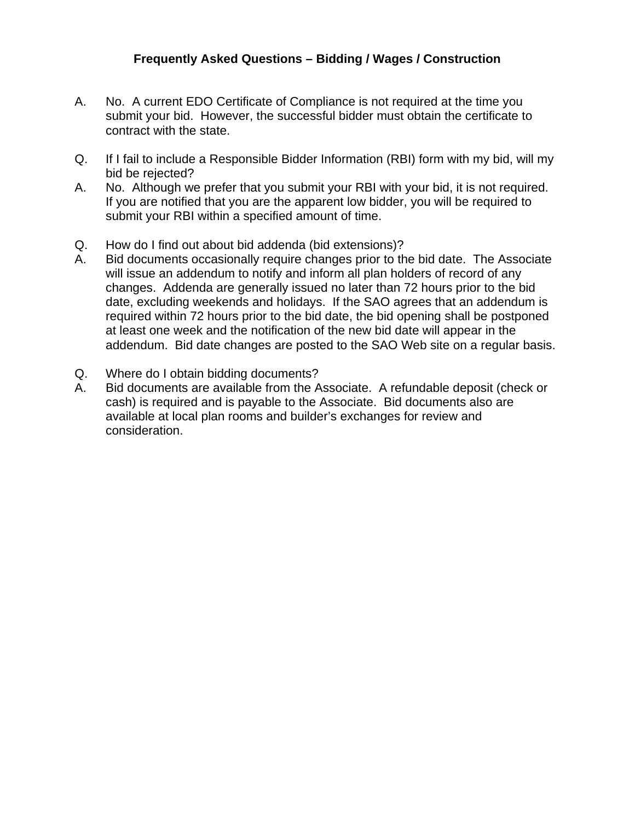- A. No. A current EDO Certificate of Compliance is not required at the time you submit your bid. However, the successful bidder must obtain the certificate to contract with the state.
- Q. If I fail to include a Responsible Bidder Information (RBI) form with my bid, will my bid be rejected?
- A. No. Although we prefer that you submit your RBI with your bid, it is not required. If you are notified that you are the apparent low bidder, you will be required to submit your RBI within a specified amount of time.
- Q. How do I find out about bid addenda (bid extensions)?
- A. Bid documents occasionally require changes prior to the bid date. The Associate will issue an addendum to notify and inform all plan holders of record of any changes. Addenda are generally issued no later than 72 hours prior to the bid date, excluding weekends and holidays. If the SAO agrees that an addendum is required within 72 hours prior to the bid date, the bid opening shall be postponed at least one week and the notification of the new bid date will appear in the addendum. Bid date changes are posted to the SAO Web site on a regular basis.
- Q. Where do I obtain bidding documents?
- A. Bid documents are available from the Associate. A refundable deposit (check or cash) is required and is payable to the Associate. Bid documents also are available at local plan rooms and builder's exchanges for review and consideration.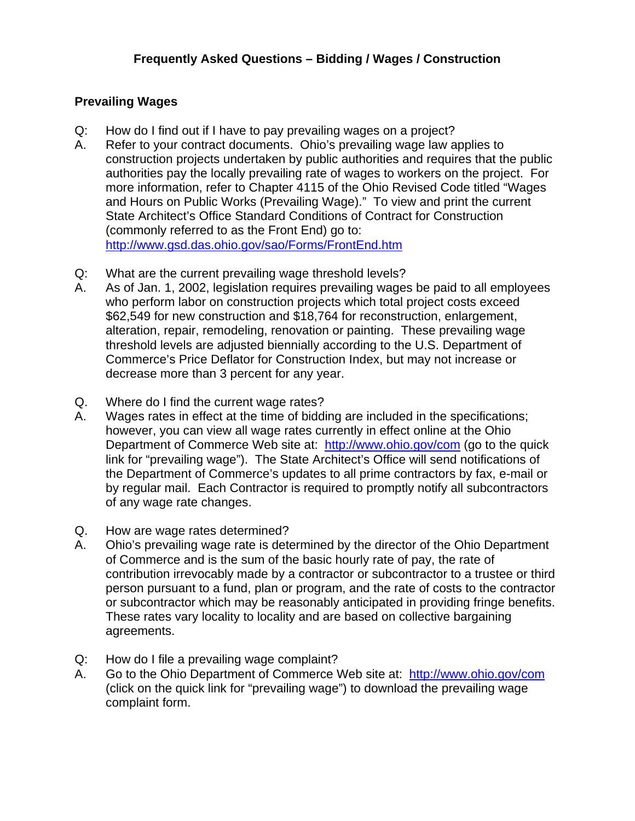## **Prevailing Wages**

- Q: How do I find out if I have to pay prevailing wages on a project?
- A. Refer to your contract documents. Ohio's prevailing wage law applies to construction projects undertaken by public authorities and requires that the public authorities pay the locally prevailing rate of wages to workers on the project. For more information, refer to Chapter 4115 of the Ohio Revised Code titled "Wages and Hours on Public Works (Prevailing Wage)." To view and print the current State Architect's Office Standard Conditions of Contract for Construction (commonly referred to as the Front End) go to: <http://www.gsd.das.ohio.gov/sao/Forms/FrontEnd.htm>
- Q: What are the current prevailing wage threshold levels?
- A. As of Jan. 1, 2002, legislation requires prevailing wages be paid to all employees who perform labor on construction projects which total project costs exceed \$62,549 for new construction and \$18,764 for reconstruction, enlargement, alteration, repair, remodeling, renovation or painting. These prevailing wage threshold levels are adjusted biennially according to the U.S. Department of Commerce's Price Deflator for Construction Index, but may not increase or decrease more than 3 percent for any year.
- Q. Where do I find the current wage rates?
- A. Wages rates in effect at the time of bidding are included in the specifications; however, you can view all wage rates currently in effect online at the Ohio Department of Commerce Web site at: <http://www.ohio.gov/com> (go to the quick link for "prevailing wage"). The State Architect's Office will send notifications of the Department of Commerce's updates to all prime contractors by fax, e-mail or by regular mail. Each Contractor is required to promptly notify all subcontractors of any wage rate changes.
- Q. How are wage rates determined?
- A. Ohio's prevailing wage rate is determined by the director of the Ohio Department of Commerce and is the sum of the basic hourly rate of pay, the rate of contribution irrevocably made by a contractor or subcontractor to a trustee or third person pursuant to a fund, plan or program, and the rate of costs to the contractor or subcontractor which may be reasonably anticipated in providing fringe benefits. These rates vary locality to locality and are based on collective bargaining agreements.
- Q: How do I file a prevailing wage complaint?
- A. Go to the Ohio Department of Commerce Web site at: <http://www.ohio.gov/com> (click on the quick link for "prevailing wage") to download the prevailing wage complaint form.